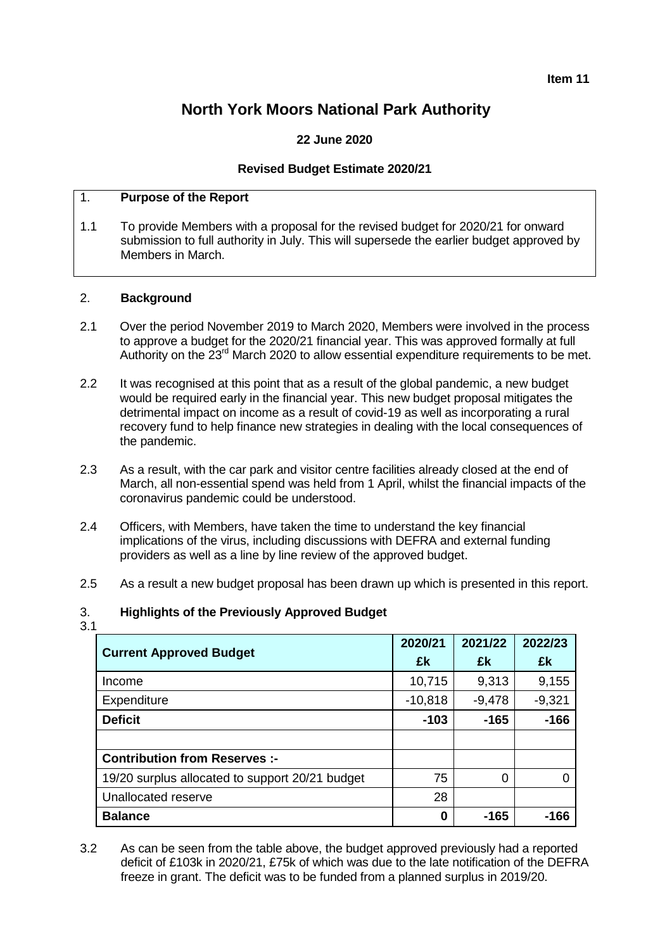**Item 11**

# **North York Moors National Park Authority**

## **22 June 2020**

### **Revised Budget Estimate 2020/21**

### 1. **Purpose of the Report**

1.1 To provide Members with a proposal for the revised budget for 2020/21 for onward submission to full authority in July. This will supersede the earlier budget approved by Members in March.

### 2. **Background**

- 2.1 Over the period November 2019 to March 2020, Members were involved in the process to approve a budget for the 2020/21 financial year. This was approved formally at full Authority on the 23<sup>rd</sup> March 2020 to allow essential expenditure requirements to be met.
- 2.2 It was recognised at this point that as a result of the global pandemic, a new budget would be required early in the financial year. This new budget proposal mitigates the detrimental impact on income as a result of covid-19 as well as incorporating a rural recovery fund to help finance new strategies in dealing with the local consequences of the pandemic.
- 2.3 As a result, with the car park and visitor centre facilities already closed at the end of March, all non-essential spend was held from 1 April, whilst the financial impacts of the coronavirus pandemic could be understood.
- 2.4 Officers, with Members, have taken the time to understand the key financial implications of the virus, including discussions with DEFRA and external funding providers as well as a line by line review of the approved budget.
- 2.5 As a result a new budget proposal has been drawn up which is presented in this report.

## 3. **Highlights of the Previously Approved Budget**

<sup>3.1</sup>

|                                                 | 2020/21   | 2021/22  | 2022/23  |
|-------------------------------------------------|-----------|----------|----------|
| <b>Current Approved Budget</b>                  | £k        | £k       | £k       |
| Income                                          | 10,715    | 9,313    | 9,155    |
| Expenditure                                     | $-10,818$ | $-9,478$ | $-9,321$ |
| <b>Deficit</b>                                  | $-103$    | $-165$   | $-166$   |
|                                                 |           |          |          |
| <b>Contribution from Reserves :-</b>            |           |          |          |
| 19/20 surplus allocated to support 20/21 budget | 75        | 0        |          |
| Unallocated reserve                             | 28        |          |          |
| <b>Balance</b>                                  | 0         | $-165$   | -166     |

3.2 As can be seen from the table above, the budget approved previously had a reported deficit of £103k in 2020/21, £75k of which was due to the late notification of the DEFRA freeze in grant. The deficit was to be funded from a planned surplus in 2019/20.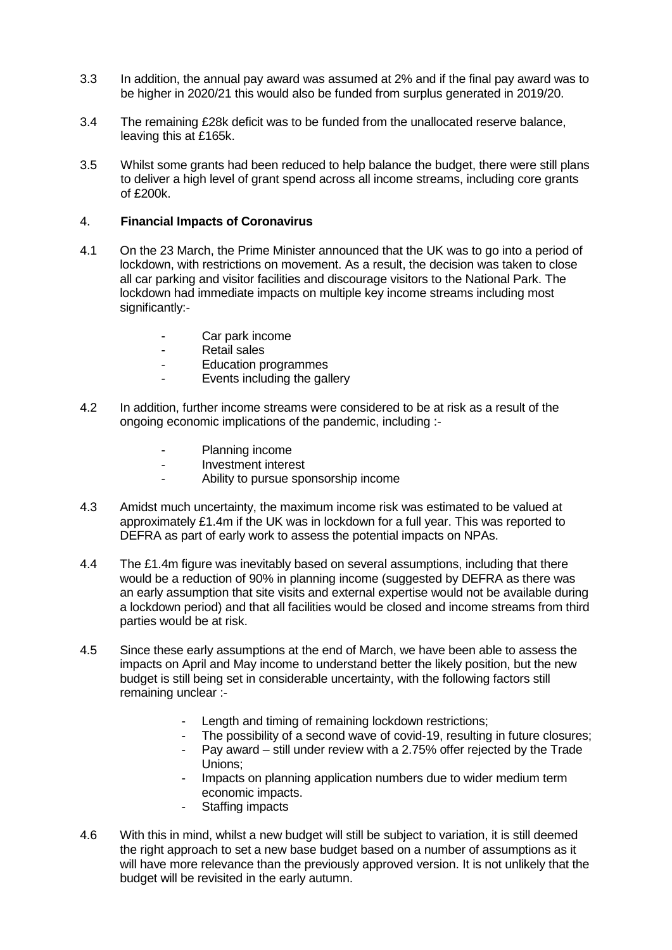- 3.3 In addition, the annual pay award was assumed at 2% and if the final pay award was to be higher in 2020/21 this would also be funded from surplus generated in 2019/20.
- 3.4 The remaining £28k deficit was to be funded from the unallocated reserve balance, leaving this at £165k.
- 3.5 Whilst some grants had been reduced to help balance the budget, there were still plans to deliver a high level of grant spend across all income streams, including core grants of £200k.

### 4. **Financial Impacts of Coronavirus**

- 4.1 On the 23 March, the Prime Minister announced that the UK was to go into a period of lockdown, with restrictions on movement. As a result, the decision was taken to close all car parking and visitor facilities and discourage visitors to the National Park. The lockdown had immediate impacts on multiple key income streams including most significantly:-
	- Car park income
	- Retail sales
	- Education programmes
	- Events including the gallery
- 4.2 In addition, further income streams were considered to be at risk as a result of the ongoing economic implications of the pandemic, including :-
	- Planning income
	- Investment interest
	- Ability to pursue sponsorship income
- 4.3 Amidst much uncertainty, the maximum income risk was estimated to be valued at approximately £1.4m if the UK was in lockdown for a full year. This was reported to DEFRA as part of early work to assess the potential impacts on NPAs.
- 4.4 The £1.4m figure was inevitably based on several assumptions, including that there would be a reduction of 90% in planning income (suggested by DEFRA as there was an early assumption that site visits and external expertise would not be available during a lockdown period) and that all facilities would be closed and income streams from third parties would be at risk.
- 4.5 Since these early assumptions at the end of March, we have been able to assess the impacts on April and May income to understand better the likely position, but the new budget is still being set in considerable uncertainty, with the following factors still remaining unclear :-
	- Length and timing of remaining lockdown restrictions;
	- The possibility of a second wave of covid-19, resulting in future closures;
	- Pay award still under review with a 2.75% offer rejected by the Trade Unions;
	- Impacts on planning application numbers due to wider medium term economic impacts.
	- Staffing impacts
- 4.6 With this in mind, whilst a new budget will still be subject to variation, it is still deemed the right approach to set a new base budget based on a number of assumptions as it will have more relevance than the previously approved version. It is not unlikely that the budget will be revisited in the early autumn.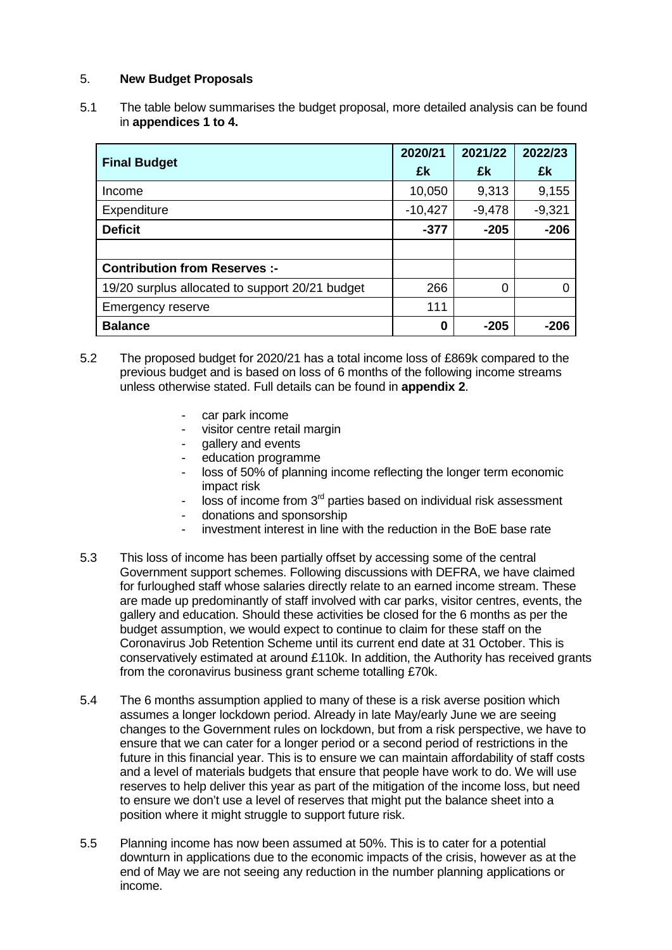### 5. **New Budget Proposals**

5.1 The table below summarises the budget proposal, more detailed analysis can be found in **appendices 1 to 4.**

|                                                 | 2020/21   | 2021/22  | 2022/23  |  |
|-------------------------------------------------|-----------|----------|----------|--|
| <b>Final Budget</b>                             | £k        | £k       | £k       |  |
| Income                                          | 10,050    | 9,313    | 9,155    |  |
| Expenditure                                     | $-10,427$ | $-9,478$ | $-9,321$ |  |
| <b>Deficit</b>                                  | $-377$    | $-205$   | $-206$   |  |
|                                                 |           |          |          |  |
| <b>Contribution from Reserves:-</b>             |           |          |          |  |
| 19/20 surplus allocated to support 20/21 budget | 266       | 0        | 0        |  |
| <b>Emergency reserve</b>                        | 111       |          |          |  |
| <b>Balance</b>                                  | 0         | $-205$   | -206     |  |

- 5.2 The proposed budget for 2020/21 has a total income loss of £869k compared to the previous budget and is based on loss of 6 months of the following income streams unless otherwise stated. Full details can be found in **appendix 2**.
	- car park income
	- visitor centre retail margin
	- gallery and events
	- education programme
	- loss of 50% of planning income reflecting the longer term economic impact risk
	- $\log s$  of income from  $3^{\text{rd}}$  parties based on individual risk assessment
	- donations and sponsorship
	- investment interest in line with the reduction in the BoE base rate
- 5.3 This loss of income has been partially offset by accessing some of the central Government support schemes. Following discussions with DEFRA, we have claimed for furloughed staff whose salaries directly relate to an earned income stream. These are made up predominantly of staff involved with car parks, visitor centres, events, the gallery and education. Should these activities be closed for the 6 months as per the budget assumption, we would expect to continue to claim for these staff on the Coronavirus Job Retention Scheme until its current end date at 31 October. This is conservatively estimated at around £110k. In addition, the Authority has received grants from the coronavirus business grant scheme totalling £70k.
- 5.4 The 6 months assumption applied to many of these is a risk averse position which assumes a longer lockdown period. Already in late May/early June we are seeing changes to the Government rules on lockdown, but from a risk perspective, we have to ensure that we can cater for a longer period or a second period of restrictions in the future in this financial year. This is to ensure we can maintain affordability of staff costs and a level of materials budgets that ensure that people have work to do. We will use reserves to help deliver this year as part of the mitigation of the income loss, but need to ensure we don't use a level of reserves that might put the balance sheet into a position where it might struggle to support future risk.
- 5.5 Planning income has now been assumed at 50%. This is to cater for a potential downturn in applications due to the economic impacts of the crisis, however as at the end of May we are not seeing any reduction in the number planning applications or income.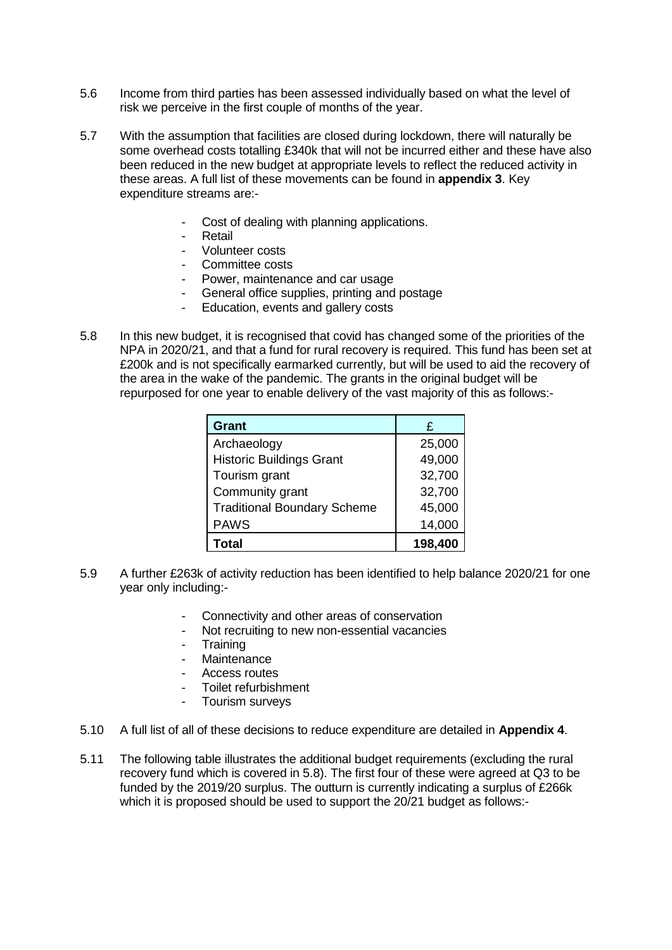- 5.6 Income from third parties has been assessed individually based on what the level of risk we perceive in the first couple of months of the year.
- 5.7 With the assumption that facilities are closed during lockdown, there will naturally be some overhead costs totalling £340k that will not be incurred either and these have also been reduced in the new budget at appropriate levels to reflect the reduced activity in these areas. A full list of these movements can be found in **appendix 3**. Key expenditure streams are:-
	- Cost of dealing with planning applications.
	- Retail
	- Volunteer costs
	- Committee costs
	- Power, maintenance and car usage
	- General office supplies, printing and postage
	- Education, events and gallery costs
- 5.8 In this new budget, it is recognised that covid has changed some of the priorities of the NPA in 2020/21, and that a fund for rural recovery is required. This fund has been set at £200k and is not specifically earmarked currently, but will be used to aid the recovery of the area in the wake of the pandemic. The grants in the original budget will be repurposed for one year to enable delivery of the vast majority of this as follows:-

| <b>Grant</b>                       | £       |
|------------------------------------|---------|
| Archaeology                        | 25,000  |
| <b>Historic Buildings Grant</b>    | 49,000  |
| Tourism grant                      | 32,700  |
| Community grant                    | 32,700  |
| <b>Traditional Boundary Scheme</b> | 45,000  |
| <b>PAWS</b>                        | 14,000  |
| Total                              | 198,400 |

- 5.9 A further £263k of activity reduction has been identified to help balance 2020/21 for one year only including:-
	- Connectivity and other areas of conservation
	- Not recruiting to new non-essential vacancies
	- **Training**
	- **Maintenance**
	- Access routes
	- Toilet refurbishment
	- Tourism surveys
- 5.10 A full list of all of these decisions to reduce expenditure are detailed in **Appendix 4**.
- 5.11 The following table illustrates the additional budget requirements (excluding the rural recovery fund which is covered in 5.8). The first four of these were agreed at Q3 to be funded by the 2019/20 surplus. The outturn is currently indicating a surplus of £266k which it is proposed should be used to support the 20/21 budget as follows:-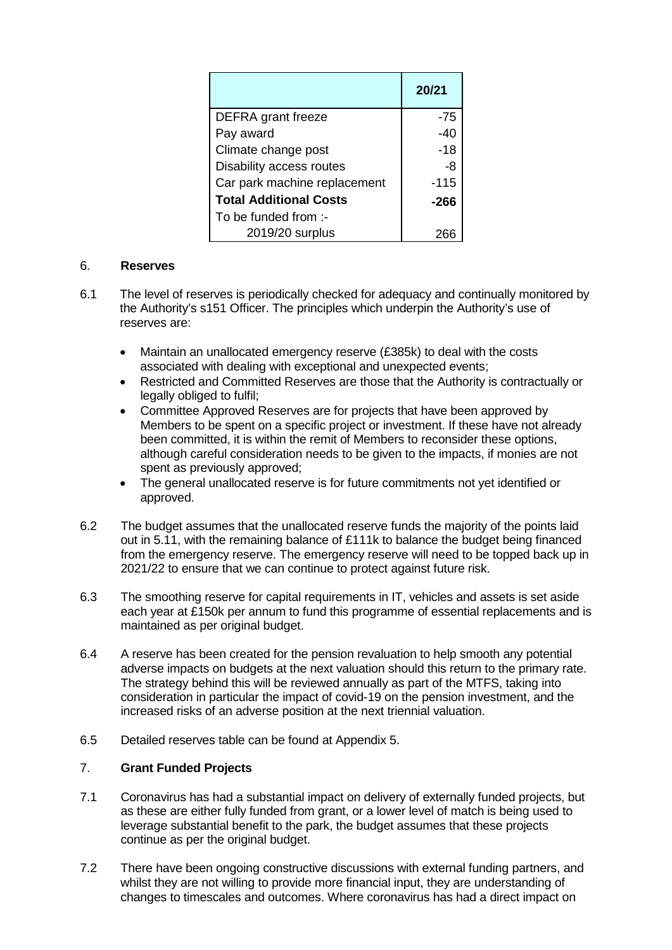|                               | 20/21  |
|-------------------------------|--------|
| DEFRA grant freeze            | -75    |
| Pay award                     | -40    |
| Climate change post           | -18    |
| Disability access routes      | -8     |
| Car park machine replacement  | $-115$ |
| <b>Total Additional Costs</b> | -266   |
| To be funded from :-          |        |
| 2019/20 surplus               |        |

## 6. **Reserves**

- 6.1 The level of reserves is periodically checked for adequacy and continually monitored by the Authority's s151 Officer. The principles which underpin the Authority's use of reserves are:
	- Maintain an unallocated emergency reserve (£385k) to deal with the costs associated with dealing with exceptional and unexpected events;
	- Restricted and Committed Reserves are those that the Authority is contractually or legally obliged to fulfil;
	- Committee Approved Reserves are for projects that have been approved by Members to be spent on a specific project or investment. If these have not already been committed, it is within the remit of Members to reconsider these options, although careful consideration needs to be given to the impacts, if monies are not spent as previously approved;
	- The general unallocated reserve is for future commitments not yet identified or approved.
- 6.2 The budget assumes that the unallocated reserve funds the majority of the points laid out in 5.11, with the remaining balance of £111k to balance the budget being financed from the emergency reserve. The emergency reserve will need to be topped back up in 2021/22 to ensure that we can continue to protect against future risk.
- 6.3 The smoothing reserve for capital requirements in IT, vehicles and assets is set aside each year at £150k per annum to fund this programme of essential replacements and is maintained as per original budget.
- 6.4 A reserve has been created for the pension revaluation to help smooth any potential adverse impacts on budgets at the next valuation should this return to the primary rate. The strategy behind this will be reviewed annually as part of the MTFS, taking into consideration in particular the impact of covid-19 on the pension investment, and the increased risks of an adverse position at the next triennial valuation.
- 6.5 Detailed reserves table can be found at Appendix 5.

## 7. **Grant Funded Projects**

- 7.1 Coronavirus has had a substantial impact on delivery of externally funded projects, but as these are either fully funded from grant, or a lower level of match is being used to leverage substantial benefit to the park, the budget assumes that these projects continue as per the original budget.
- 7.2 There have been ongoing constructive discussions with external funding partners, and whilst they are not willing to provide more financial input, they are understanding of changes to timescales and outcomes. Where coronavirus has had a direct impact on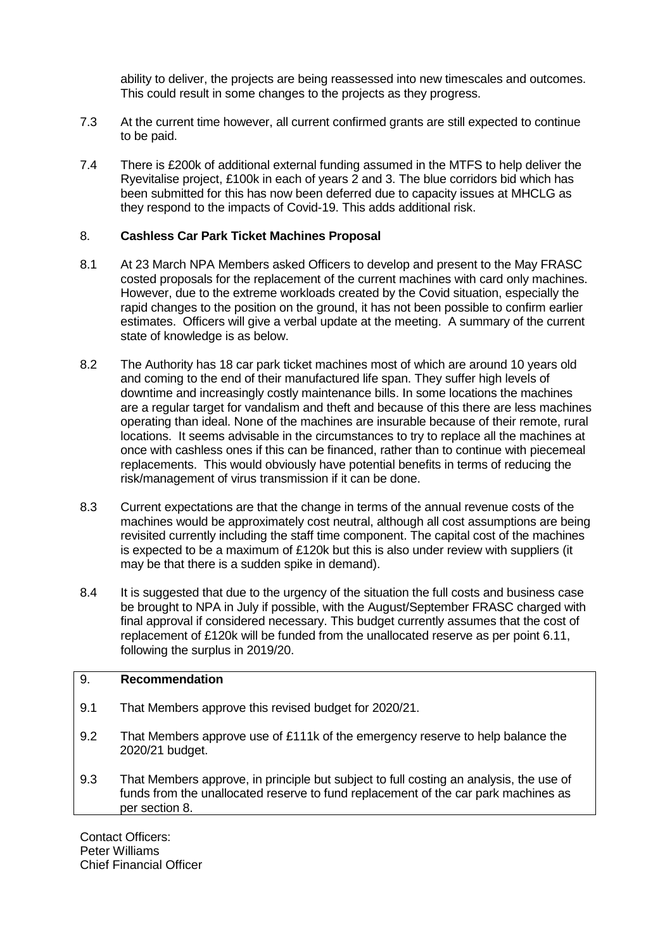ability to deliver, the projects are being reassessed into new timescales and outcomes. This could result in some changes to the projects as they progress.

- 7.3 At the current time however, all current confirmed grants are still expected to continue to be paid.
- 7.4 There is £200k of additional external funding assumed in the MTFS to help deliver the Ryevitalise project, £100k in each of years 2 and 3. The blue corridors bid which has been submitted for this has now been deferred due to capacity issues at MHCLG as they respond to the impacts of Covid-19. This adds additional risk.

#### 8. **Cashless Car Park Ticket Machines Proposal**

- 8.1 At 23 March NPA Members asked Officers to develop and present to the May FRASC costed proposals for the replacement of the current machines with card only machines. However, due to the extreme workloads created by the Covid situation, especially the rapid changes to the position on the ground, it has not been possible to confirm earlier estimates. Officers will give a verbal update at the meeting. A summary of the current state of knowledge is as below.
- 8.2 The Authority has 18 car park ticket machines most of which are around 10 years old and coming to the end of their manufactured life span. They suffer high levels of downtime and increasingly costly maintenance bills. In some locations the machines are a regular target for vandalism and theft and because of this there are less machines operating than ideal. None of the machines are insurable because of their remote, rural locations. It seems advisable in the circumstances to try to replace all the machines at once with cashless ones if this can be financed, rather than to continue with piecemeal replacements. This would obviously have potential benefits in terms of reducing the risk/management of virus transmission if it can be done.
- 8.3 Current expectations are that the change in terms of the annual revenue costs of the machines would be approximately cost neutral, although all cost assumptions are being revisited currently including the staff time component. The capital cost of the machines is expected to be a maximum of £120k but this is also under review with suppliers (it may be that there is a sudden spike in demand).
- 8.4 It is suggested that due to the urgency of the situation the full costs and business case be brought to NPA in July if possible, with the August/September FRASC charged with final approval if considered necessary. This budget currently assumes that the cost of replacement of £120k will be funded from the unallocated reserve as per point 6.11, following the surplus in 2019/20.

### 9. **Recommendation**

- 9.1 That Members approve this revised budget for 2020/21.
- 9.2 That Members approve use of £111k of the emergency reserve to help balance the 2020/21 budget.
- 9.3 That Members approve, in principle but subject to full costing an analysis, the use of funds from the unallocated reserve to fund replacement of the car park machines as per section 8.

Contact Officers: Peter Williams Chief Financial Officer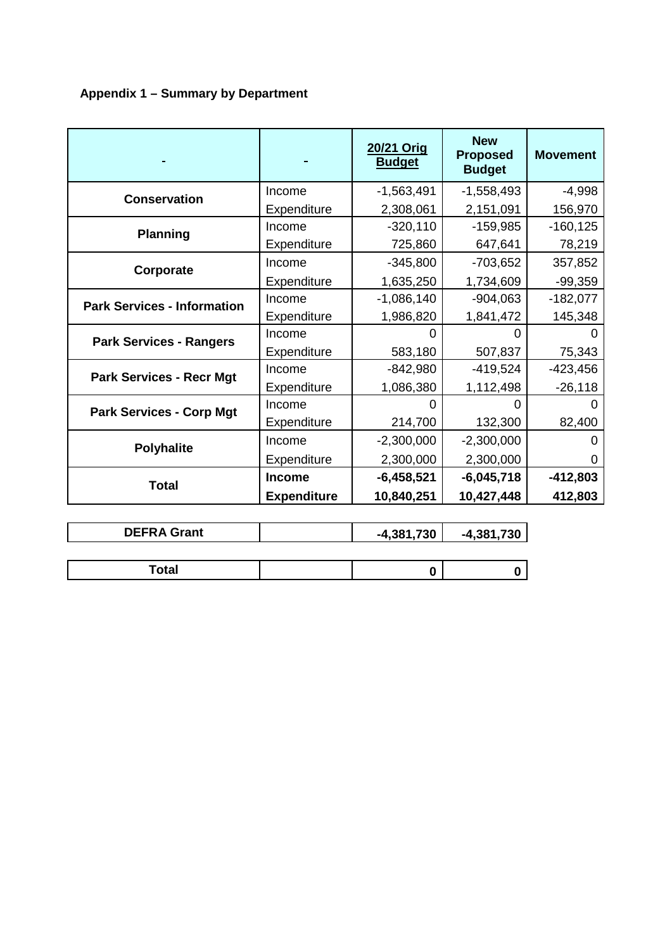## **Appendix 1 – Summary by Department**

|                                    |                    | 20/21 Orig<br><b>Budget</b> | <b>New</b><br><b>Proposed</b><br><b>Budget</b> | <b>Movement</b> |
|------------------------------------|--------------------|-----------------------------|------------------------------------------------|-----------------|
| <b>Conservation</b>                | Income             | $-1,563,491$                | $-1,558,493$                                   | $-4,998$        |
|                                    | Expenditure        | 2,308,061                   | 2,151,091                                      | 156,970         |
| <b>Planning</b>                    | Income             | $-320,110$                  | $-159,985$                                     | $-160, 125$     |
|                                    | Expenditure        | 725,860                     | 647,641                                        | 78,219          |
| Corporate                          | Income             | $-345,800$                  | $-703,652$                                     | 357,852         |
|                                    | Expenditure        | 1,635,250                   | 1,734,609                                      | $-99,359$       |
| <b>Park Services - Information</b> | Income             | $-1,086,140$                | $-904,063$                                     | $-182,077$      |
|                                    | Expenditure        | 1,986,820                   | 1,841,472                                      | 145,348         |
| <b>Park Services - Rangers</b>     | Income             |                             | ი                                              |                 |
|                                    | Expenditure        | 583,180                     | 507,837                                        | 75,343          |
| <b>Park Services - Recr Mgt</b>    | Income             | $-842,980$                  | $-419,524$                                     | $-423,456$      |
|                                    | Expenditure        | 1,086,380                   | 1,112,498                                      | $-26,118$       |
| <b>Park Services - Corp Mgt</b>    | Income             |                             | ი                                              |                 |
|                                    | Expenditure        | 214,700                     | 132,300                                        | 82,400          |
| <b>Polyhalite</b>                  | Income             | $-2,300,000$                | $-2,300,000$                                   |                 |
|                                    | Expenditure        | 2,300,000                   | 2,300,000                                      | 0               |
| <b>Total</b>                       | <b>Income</b>      | $-6,458,521$                | $-6,045,718$                                   | $-412,803$      |
|                                    | <b>Expenditure</b> | 10,840,251                  | 10,427,448                                     | 412,803         |

| <b>DEFRA Grant</b> | $-4,381,730$ | ,730<br>$-4,381$ |
|--------------------|--------------|------------------|
|                    |              |                  |

|--|--|--|--|--|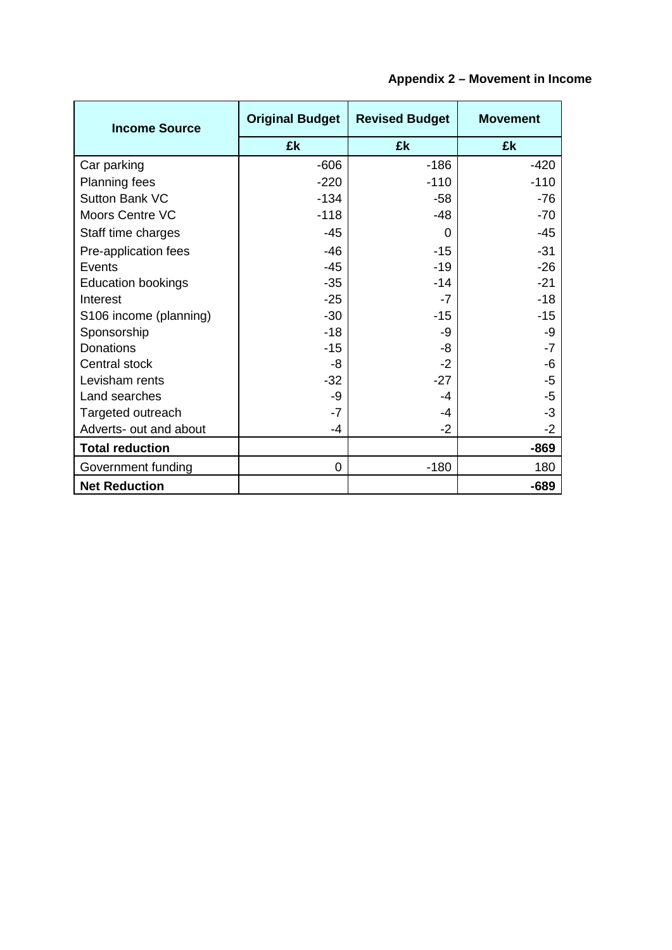| <b>Income Source</b>      | <b>Original Budget</b> | <b>Revised Budget</b> | <b>Movement</b> |  |  |
|---------------------------|------------------------|-----------------------|-----------------|--|--|
|                           | £k                     | £k                    | £k              |  |  |
| Car parking               | $-606$                 | $-186$                | $-420$          |  |  |
| <b>Planning fees</b>      | $-220$                 | $-110$                | $-110$          |  |  |
| <b>Sutton Bank VC</b>     | $-134$                 | $-58$                 | $-76$           |  |  |
| Moors Centre VC           | $-118$                 | -48                   | $-70$           |  |  |
| Staff time charges        | $-45$                  | 0                     | $-45$           |  |  |
| Pre-application fees      | $-46$                  | $-15$                 | $-31$           |  |  |
| Events                    | $-45$                  | $-19$                 | $-26$           |  |  |
| <b>Education bookings</b> | $-35$                  | $-14$                 | $-21$           |  |  |
| Interest                  | $-25$                  | $-7$                  | $-18$           |  |  |
| S106 income (planning)    | $-30$                  | $-15$                 | $-15$           |  |  |
| Sponsorship               | $-18$                  | -9                    | $-9$            |  |  |
| <b>Donations</b>          | $-15$                  | -8                    | $-7$            |  |  |
| Central stock             | -8                     | $-2$                  | -6              |  |  |
| Levisham rents            | $-32$                  | $-27$                 | -5              |  |  |
| Land searches             | -9                     | -4                    | $-5$            |  |  |
| Targeted outreach         | $-7$                   | -4                    | $-3$            |  |  |
| Adverts- out and about    | -4                     | $-2$                  | $-2$            |  |  |
| <b>Total reduction</b>    |                        |                       | $-869$          |  |  |
| Government funding        | 0                      | $-180$                | 180             |  |  |
| <b>Net Reduction</b>      |                        |                       | $-689$          |  |  |

## **Appendix 2 – Movement in Income**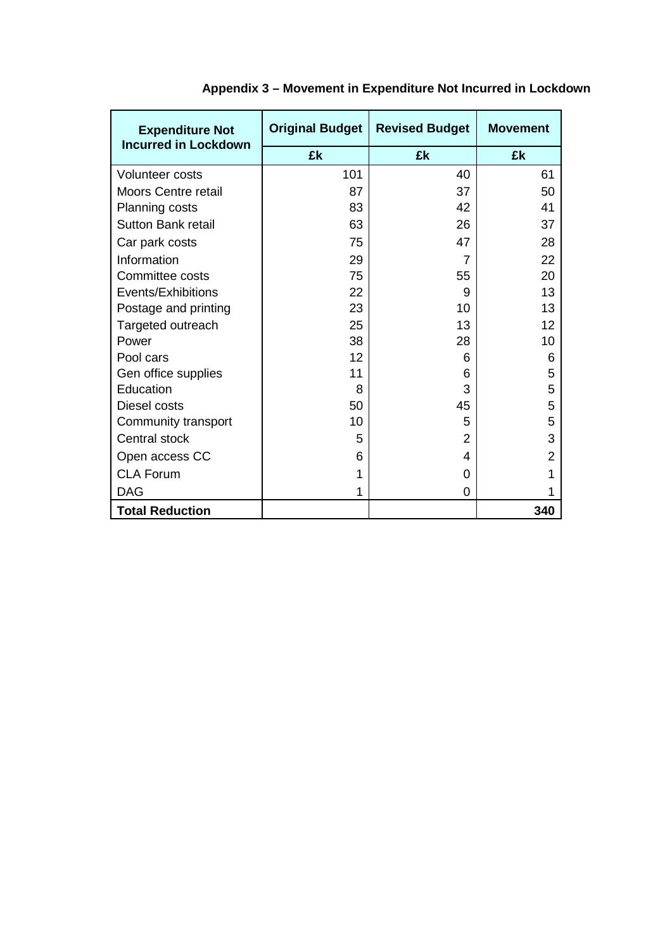| <b>Expenditure Not</b><br><b>Incurred in Lockdown</b> | <b>Original Budget</b> | <b>Revised Budget</b> | <b>Movement</b> |  |  |
|-------------------------------------------------------|------------------------|-----------------------|-----------------|--|--|
|                                                       | £k                     | £k                    | £k              |  |  |
| <b>Volunteer costs</b>                                | 101                    | 40                    | 61              |  |  |
| <b>Moors Centre retail</b>                            | 87                     | 37                    | 50              |  |  |
| Planning costs                                        | 83                     | 42                    | 41              |  |  |
| <b>Sutton Bank retail</b>                             | 63                     | 26                    | 37              |  |  |
| Car park costs                                        | 75                     | 47                    | 28              |  |  |
| Information                                           | 29                     | 7                     | 22              |  |  |
| Committee costs                                       | 75                     | 55                    | 20              |  |  |
| Events/Exhibitions                                    | 22                     | 9                     | 13              |  |  |
| Postage and printing                                  | 23                     | 10                    | 13              |  |  |
| Targeted outreach                                     | 25                     | 13                    | 12              |  |  |
| Power                                                 | 38                     | 28                    | 10              |  |  |
| Pool cars                                             | 12                     | 6                     | 6               |  |  |
| Gen office supplies                                   | 11                     | 6                     | 5               |  |  |
| Education                                             | 8                      | 3                     | 5               |  |  |
| Diesel costs                                          | 50                     | 45                    | 5               |  |  |
| Community transport                                   | 10                     | 5                     | 5               |  |  |
| <b>Central stock</b>                                  | 5                      | 2                     | 3               |  |  |
| Open access CC                                        | 6                      | 4                     | 2               |  |  |
| <b>CLA Forum</b>                                      | 1                      | 0                     |                 |  |  |
| <b>DAG</b>                                            | 1                      | 0                     |                 |  |  |
| <b>Total Reduction</b>                                |                        |                       | 340             |  |  |

## **Appendix 3 – Movement in Expenditure Not Incurred in Lockdown**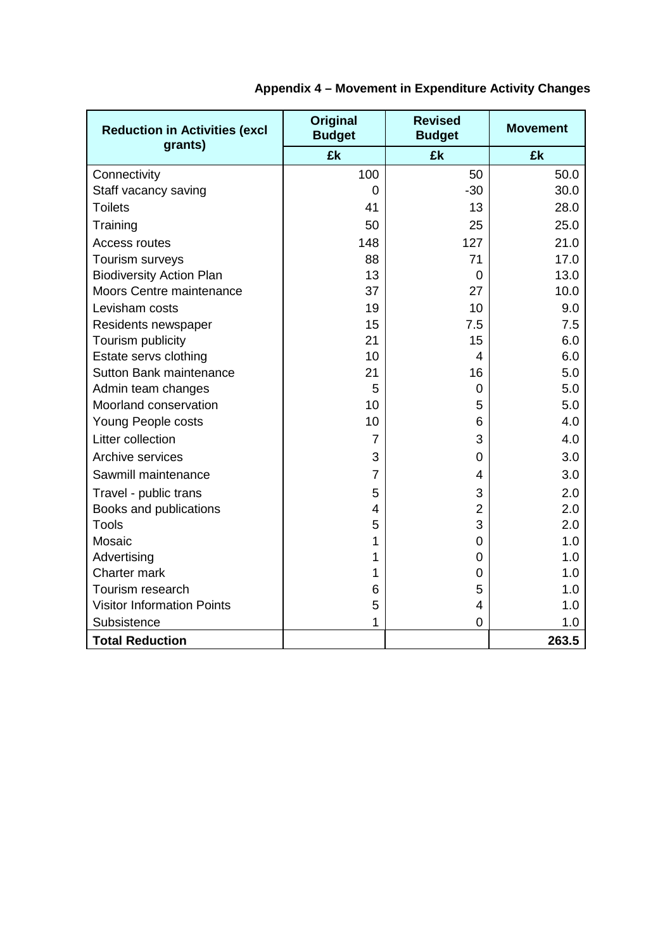| <b>Reduction in Activities (excl</b><br>grants) | <b>Original</b><br><b>Budget</b> | <b>Revised</b><br><b>Budget</b> | <b>Movement</b> |  |
|-------------------------------------------------|----------------------------------|---------------------------------|-----------------|--|
|                                                 | £k                               | £k                              | £k              |  |
| Connectivity                                    | 100                              | 50                              | 50.0            |  |
| Staff vacancy saving                            | 0                                | $-30$                           | 30.0            |  |
| <b>Toilets</b>                                  | 41                               | 13                              | 28.0            |  |
| Training                                        | 50                               | 25                              | 25.0            |  |
| Access routes                                   | 148                              | 127                             | 21.0            |  |
| Tourism surveys                                 | 88                               | 71                              | 17.0            |  |
| <b>Biodiversity Action Plan</b>                 | 13                               | 0                               | 13.0            |  |
| Moors Centre maintenance                        | 37                               | 27                              | 10.0            |  |
| Levisham costs                                  | 19                               | 10                              | 9.0             |  |
| Residents newspaper                             | 15                               | 7.5                             | 7.5             |  |
| Tourism publicity                               | 21                               | 15                              | 6.0             |  |
| Estate servs clothing                           | 10                               | 4                               | 6.0             |  |
| Sutton Bank maintenance                         | 21                               | 16                              | 5.0             |  |
| Admin team changes                              | 5                                | $\Omega$                        | 5.0             |  |
| Moorland conservation                           | 10                               | 5                               | 5.0             |  |
| Young People costs                              | 10                               | 6                               | 4.0             |  |
| Litter collection                               | $\overline{7}$                   | 3                               | 4.0             |  |
| Archive services                                | 3                                | 0                               | 3.0             |  |
| Sawmill maintenance                             | 7                                | 4                               | 3.0             |  |
| Travel - public trans                           | 5                                | 3                               | 2.0             |  |
| Books and publications                          | 4                                | $\overline{2}$                  | 2.0             |  |
| Tools                                           | 5                                | 3                               | 2.0             |  |
| Mosaic                                          | 1                                | 0                               | 1.0             |  |
| Advertising                                     | 1                                | 0                               | 1.0             |  |
| Charter mark                                    | 1                                | 0                               | 1.0             |  |
| Tourism research                                | 6                                | 5                               | 1.0             |  |
| <b>Visitor Information Points</b>               | 5                                | 4                               | 1.0             |  |
| Subsistence                                     | 1                                | 0                               | 1.0             |  |
| <b>Total Reduction</b>                          |                                  |                                 | 263.5           |  |

## **Appendix 4 – Movement in Expenditure Activity Changes**